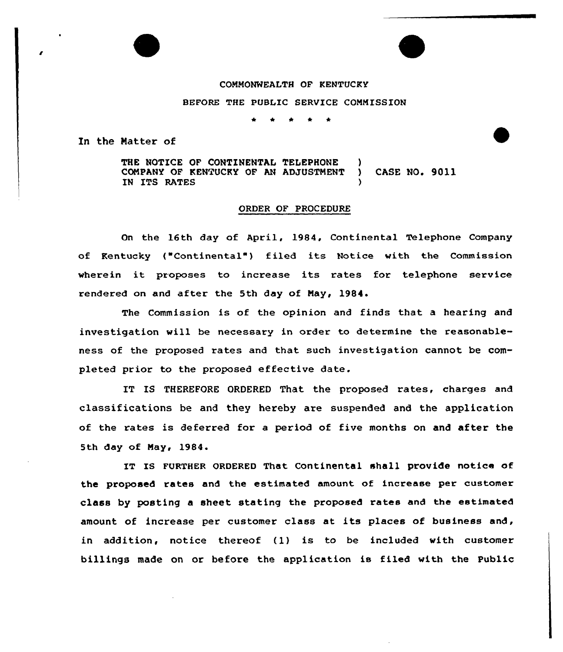COMMONWEALTH OF KENTUCKY

BEFORE THE PUBLIC SERVICE CONNISSION

In the Matter of

THE NOTICE OF CONTINENTAL TELEPHONE COMPANY OF KENTUCKY OF AN ADJUSTMENT ) CASE NO. 9011 IN ITS RATES

## ORDER OF PROCEDURE

On the 16th day of April, 1984, Continental Telephone Company of Kentucky ("Continental" ) filed its Notice with the Commission where in it proposes to increase its rates for telephone service rendered on and after the 5th day of May, 1984.

The Commission is of the opinion and finds that a hearing and investigation will be necessary in order to determine the reasonableness of the proposed rates and that such investigation cannot be completed prior to the proposed effective date.

IT IS THEREFORE ORDERED That the proposed rates, charges and classifications be and they hereby are suspended and the application of the rates is deferred for a period of five months on and after the 5th day of May, 1984.

IT IS FURTHER ORDERED That Continental shall provide notice of the proposed rates and the estimated amount of increase per customer class by posting a sheet stating the proposed rates and the estimated amount of increase per customer class at its places of business and, in addition, notice thereof (1) is to be included with customer billings made on or before the application is filed with the Public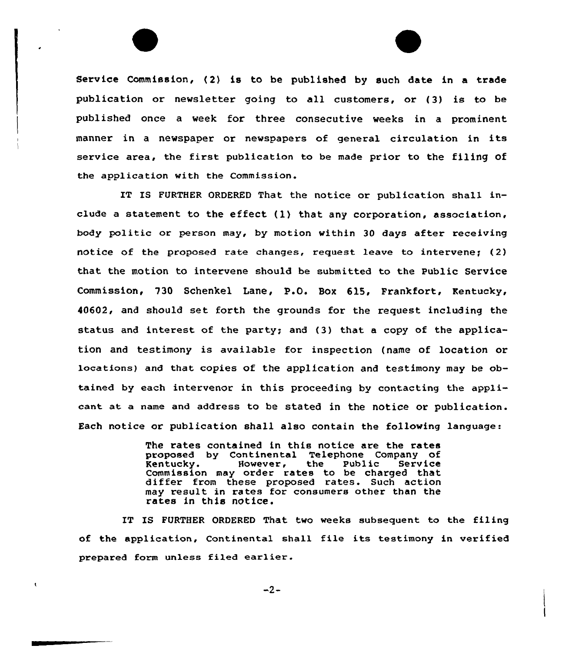Service Commission, (2) is to be published by such date in a trade publication or newsletter going to all customers, or (3) is to be published once a week for three consecutive weeks in a prominent manner in <sup>a</sup> newspaper or newspapers of general circulation in its service area, the first publication to be made prior to the filing of the application with the Commission.

IT IS FURTHER ORDERED That the notice or publication shall include a statement to the effect  $(1)$  that any corporation, association, body politic or person may, by motion within 30 days after receiving notice of the proposed rate changes, request leave to intervene;  $(2)$ that the motion to intervene should be submitted to the Public Service Commission, 730 Schenkel Lane, P.O. Box 615, Frankfort, Kentucky, 40602, and should set forth the grounds for the request including the status and interest of the party; and (3) that a copy of the application and testimony is available for inspection (name of location or locations} and that copies of the application and testimony may be obtained by each intervenor in this proceeding by contacting the applicant at a name and address to be stated in the notice or publication. Each notice or publication shall also contain the following language:

> The rates contained in this notice are the rates proposed by Continental Telephone Company of<br>
> Rentucky. However, the Public Service Rentucky. However, the Public Service Rentucky. However, the Public Service<br>Commission may order rates to be charged that differ from these proposed rates. Such action may result in rates for consumers other than the rates in this notice.

IT IS FURTHER ORDERED That two weeks subsequent to the filing of the application, Continental shall file its testimony in verified prepared form unless filed earlier.

 $-2-$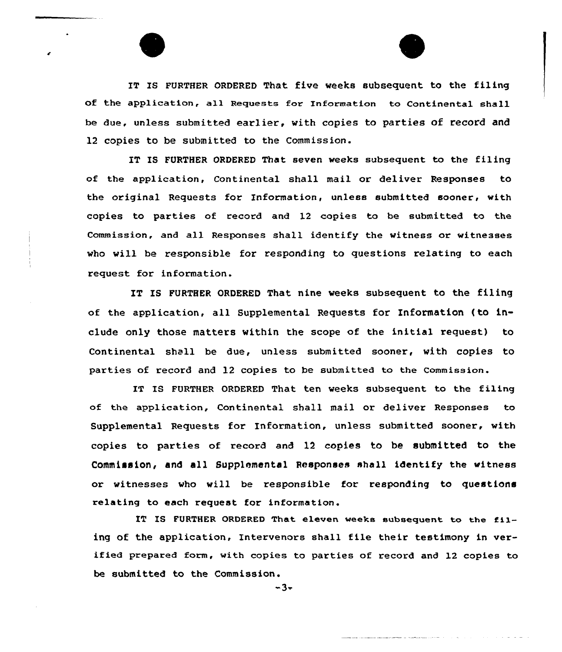IT IS FURTHER ORDERED That five weeks subsequent to the filing of the application, all Requests for Information to Continental shall be due, unless submitted earlier, with copies to parties of record and 12 copies to be submitted to the Commission.

IT IS FURTHER ORDERED That seven weeks subsequent to the filing of the application, Continental shall mail or deliver Responses to the original Requests for Information, unless submitted sooner, with copies to parties of record and 12 copies ta be submitted to the Commission, and all Responses shall identify the witness or witnesses vho vill be responsible for responding to questions relating to each request for information.

IT IS FURTHER ORDERED That nine veeks subsequent to the filing af the application, all Supplemental Requests for Information {to include only those matters vithin the scope of the initial request) to Continental shall be due, unless submitted sooner, with copies to parties of record and 12 copies to be submitted to the Commission.

IT IS FURTHER ORDERED That ten weeks subsequent to the filing of the application, Continental shall mail or deliver Responses to Supplemental Requests for Information, unless submitted sooner, with copies to parties of recard and 12 copies to be submitted to the Commission, and all Supplemental Responses shall identify the witness or witnesses who will be responsible for responding to questions relating to each request for information.

IT IS FURTHER ORDERED That eleven weeks subsequent to the filing of the application, Intervenors shall file their testimony in verified prepared form, with copies to parties of record and 12 copies to be submitted to the Commission.

 $-3-$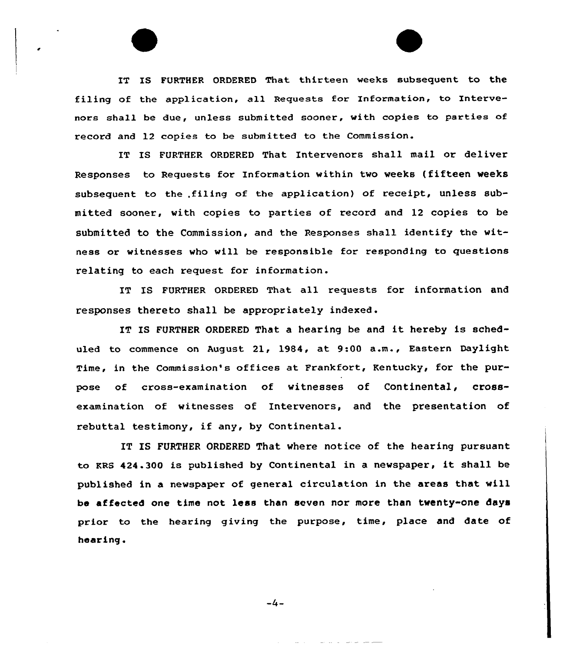IT IS FURTHER ORDERED That thirteen veeks subsequent to the filing of the application, all Requests for Information, to Intervenors shall be due, unless submitted sooner, with copies to parties of record and 12 copies to be submitted to the Commission.

IT IS FURTHER ORDERED That Intervenors shall mail or deliver Responses to Requests for Information within tvo veeks (fifteen veeks subsequent to the .filing of the application) of receipt, unless submitted sooner, with copies to parties of record and 12 copies to be submitted to the Commission, and the Responses shall identify the witness or witnesses who will be responsible for responding to questions relating to each request for information.

IT IS FURTHER ORDERED That all requests for information and responses thereto shall be appropriately indexed.

IT IS FURTHER ORDERED That a hearing be and it hereby is scheduled to commence on August 21, 1984, at 9:00 a.m., Eastern Daylight Time, in the Commission's offices at Frankfort, Kentucky, for the purpose of cross-examination of vitnesses of Continental, crossexamination of witnesses of Intervenors, and the presentation of rebuttal testimony, if any, by Continental.

IT IS FURTHER ORDERED That vhere notice of the hearing pursuant to KRS 424.300 is published by Continental in <sup>a</sup> nevspaper, it shall be published in a newspaper of general circulation in the areas that will be affected one time not less than seven nor more than twenty-one days prior to the hearing giving the purpose, time, place and date of hearing <sup>~</sup>

 $-4-$